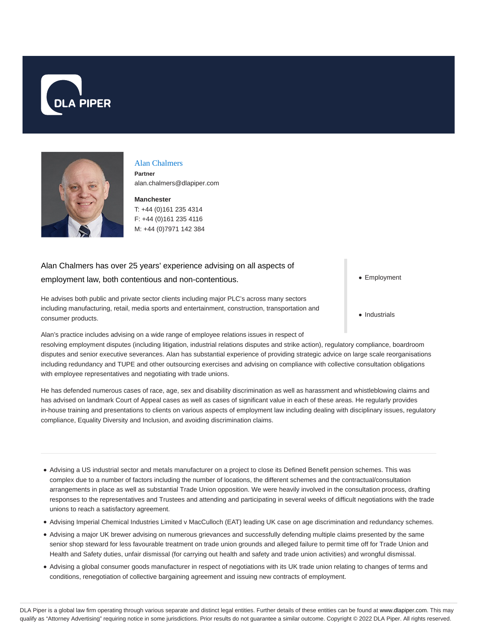



# Alan Chalmers

**Partner** alan.chalmers@dlapiper.com

**Manchester** T: +44 (0)161 235 4314 F: +44 (0)161 235 4116 M: +44 (0)7971 142 384

# Alan Chalmers has over 25 years' experience advising on all aspects of employment law, both contentious and non-contentious.

He advises both public and private sector clients including major PLC's across many sectors including manufacturing, retail, media sports and entertainment, construction, transportation and consumer products.

Alan's practice includes advising on a wide range of employee relations issues in respect of

resolving employment disputes (including litigation, industrial relations disputes and strike action), regulatory compliance, boardroom disputes and senior executive severances. Alan has substantial experience of providing strategic advice on large scale reorganisations including redundancy and TUPE and other outsourcing exercises and advising on compliance with collective consultation obligations with employee representatives and negotiating with trade unions.

He has defended numerous cases of race, age, sex and disability discrimination as well as harassment and whistleblowing claims and has advised on landmark Court of Appeal cases as well as cases of significant value in each of these areas. He regularly provides in-house training and presentations to clients on various aspects of employment law including dealing with disciplinary issues, regulatory compliance, Equality Diversity and Inclusion, and avoiding discrimination claims.

- Advising a US industrial sector and metals manufacturer on a project to close its Defined Benefit pension schemes. This was complex due to a number of factors including the number of locations, the different schemes and the contractual/consultation arrangements in place as well as substantial Trade Union opposition. We were heavily involved in the consultation process, drafting responses to the representatives and Trustees and attending and participating in several weeks of difficult negotiations with the trade unions to reach a satisfactory agreement.
- Advising Imperial Chemical Industries Limited v MacCulloch (EAT) leading UK case on age discrimination and redundancy schemes.
- Advising a major UK brewer advising on numerous grievances and successfully defending multiple claims presented by the same senior shop steward for less favourable treatment on trade union grounds and alleged failure to permit time off for Trade Union and Health and Safety duties, unfair dismissal (for carrying out health and safety and trade union activities) and wrongful dismissal.
- Advising a global consumer goods manufacturer in respect of negotiations with its UK trade union relating to changes of terms and conditions, renegotiation of collective bargaining agreement and issuing new contracts of employment.

• Employment

• Industrials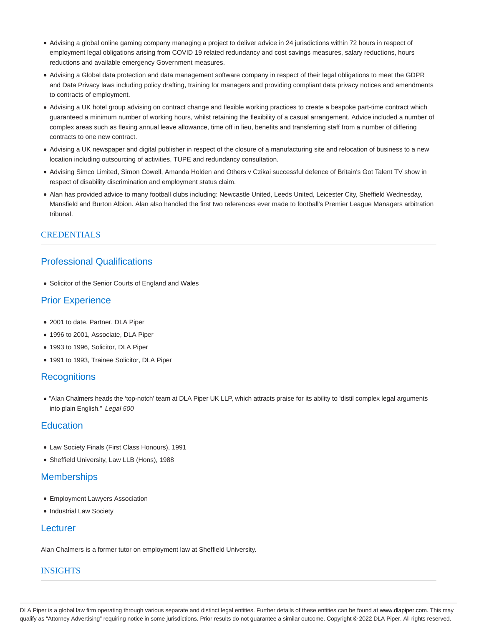- Advising a global online gaming company managing a project to deliver advice in 24 jurisdictions within 72 hours in respect of employment legal obligations arising from COVID 19 related redundancy and cost savings measures, salary reductions, hours reductions and available emergency Government measures.
- Advising a Global data protection and data management software company in respect of their legal obligations to meet the GDPR and Data Privacy laws including policy drafting, training for managers and providing compliant data privacy notices and amendments to contracts of employment.
- Advising a UK hotel group advising on contract change and flexible working practices to create a bespoke part-time contract which guaranteed a minimum number of working hours, whilst retaining the flexibility of a casual arrangement. Advice included a number of complex areas such as flexing annual leave allowance, time off in lieu, benefits and transferring staff from a number of differing contracts to one new contract.
- Advising a UK newspaper and digital publisher in respect of the closure of a manufacturing site and relocation of business to a new location including outsourcing of activities, TUPE and redundancy consultation.
- Advising Simco Limited, Simon Cowell, Amanda Holden and Others v Czikai successful defence of Britain's Got Talent TV show in respect of disability discrimination and employment status claim.
- Alan has provided advice to many football clubs including: Newcastle United, Leeds United, Leicester City, Sheffield Wednesday, Mansfield and Burton Albion. Alan also handled the first two references ever made to football's Premier League Managers arbitration tribunal.

## **CREDENTIALS**

## Professional Qualifications

Solicitor of the Senior Courts of England and Wales

### Prior Experience

- 2001 to date, Partner, DLA Piper
- 1996 to 2001, Associate, DLA Piper
- 1993 to 1996, Solicitor, DLA Piper
- 1991 to 1993, Trainee Solicitor, DLA Piper

#### **Recognitions**

"Alan Chalmers heads the 'top-notch' team at DLA Piper UK LLP, which attracts praise for its ability to 'distil complex legal arguments into plain English." Legal 500

## **Education**

- Law Society Finals (First Class Honours), 1991
- Sheffield University, Law LLB (Hons), 1988

#### **Memberships**

- Employment Lawyers Association
- Industrial Law Society

#### Lecturer

Alan Chalmers is a former tutor on employment law at Sheffield University.

#### INSIGHTS

DLA Piper is a global law firm operating through various separate and distinct legal entities. Further details of these entities can be found at www.dlapiper.com. This may qualify as "Attorney Advertising" requiring notice in some jurisdictions. Prior results do not guarantee a similar outcome. Copyright © 2022 DLA Piper. All rights reserved.